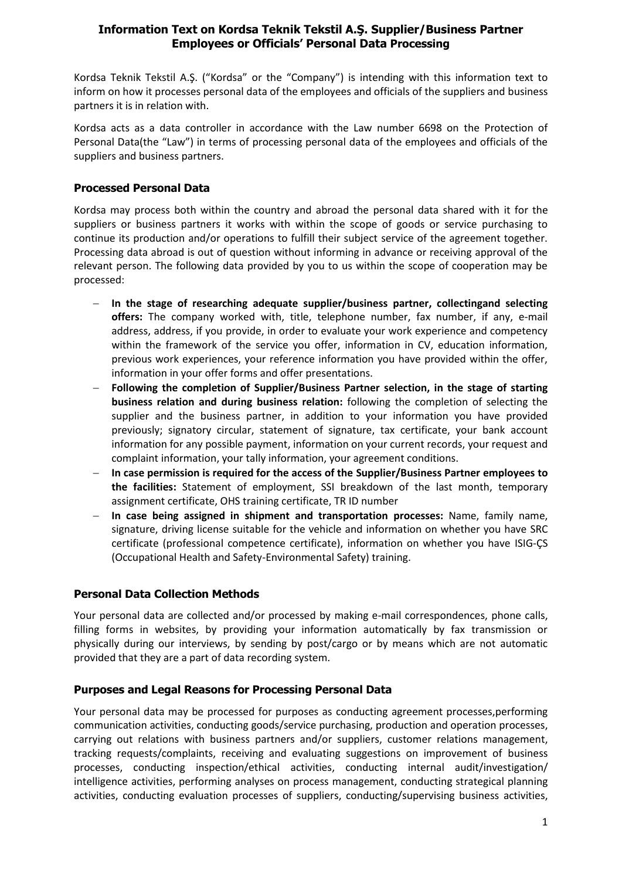### **Information Text on Kordsa Teknik Tekstil A.Ş. Supplier/Business Partner Employees or Officials' Personal Data Processing**

Kordsa Teknik Tekstil A.Ş. ("Kordsa" or the "Company") is intending with this information text to inform on how it processes personal data of the employees and officials of the suppliers and business partners it is in relation with.

Kordsa acts as a data controller in accordance with the Law number 6698 on the Protection of Personal Data(the "Law") in terms of processing personal data of the employees and officials of the suppliers and business partners.

### **Processed Personal Data**

Kordsa may process both within the country and abroad the personal data shared with it for the suppliers or business partners it works with within the scope of goods or service purchasing to continue its production and/or operations to fulfill their subject service of the agreement together. Processing data abroad is out of question without informing in advance or receiving approval of the relevant person. The following data provided by you to us within the scope of cooperation may be processed:

- − **In the stage of researching adequate supplier/business partner, collectingand selecting offers:** The company worked with, title, telephone number, fax number, if any, e-mail address, address, if you provide, in order to evaluate your work experience and competency within the framework of the service you offer, information in CV, education information, previous work experiences, your reference information you have provided within the offer, information in your offer forms and offer presentations.
- − **Following the completion of Supplier/Business Partner selection, in the stage of starting business relation and during business relation:** following the completion of selecting the supplier and the business partner, in addition to your information you have provided previously; signatory circular, statement of signature, tax certificate, your bank account information for any possible payment, information on your current records, your request and complaint information, your tally information, your agreement conditions.
- − **In case permission is required for the access of the Supplier/Business Partner employees to the facilities:** Statement of employment, SSI breakdown of the last month, temporary assignment certificate, OHS training certificate, TR ID number
- − **In case being assigned in shipment and transportation processes:** Name, family name, signature, driving license suitable for the vehicle and information on whether you have SRC certificate (professional competence certificate), information on whether you have ISIG-ÇS (Occupational Health and Safety-Environmental Safety) training.

# **Personal Data Collection Methods**

Your personal data are collected and/or processed by making e-mail correspondences, phone calls, filling forms in websites, by providing your information automatically by fax transmission or physically during our interviews, by sending by post/cargo or by means which are not automatic provided that they are a part of data recording system.

#### **Purposes and Legal Reasons for Processing Personal Data**

Your personal data may be processed for purposes as conducting agreement processes,performing communication activities, conducting goods/service purchasing, production and operation processes, carrying out relations with business partners and/or suppliers, customer relations management, tracking requests/complaints, receiving and evaluating suggestions on improvement of business processes, conducting inspection/ethical activities, conducting internal audit/investigation/ intelligence activities, performing analyses on process management, conducting strategical planning activities, conducting evaluation processes of suppliers, conducting/supervising business activities,